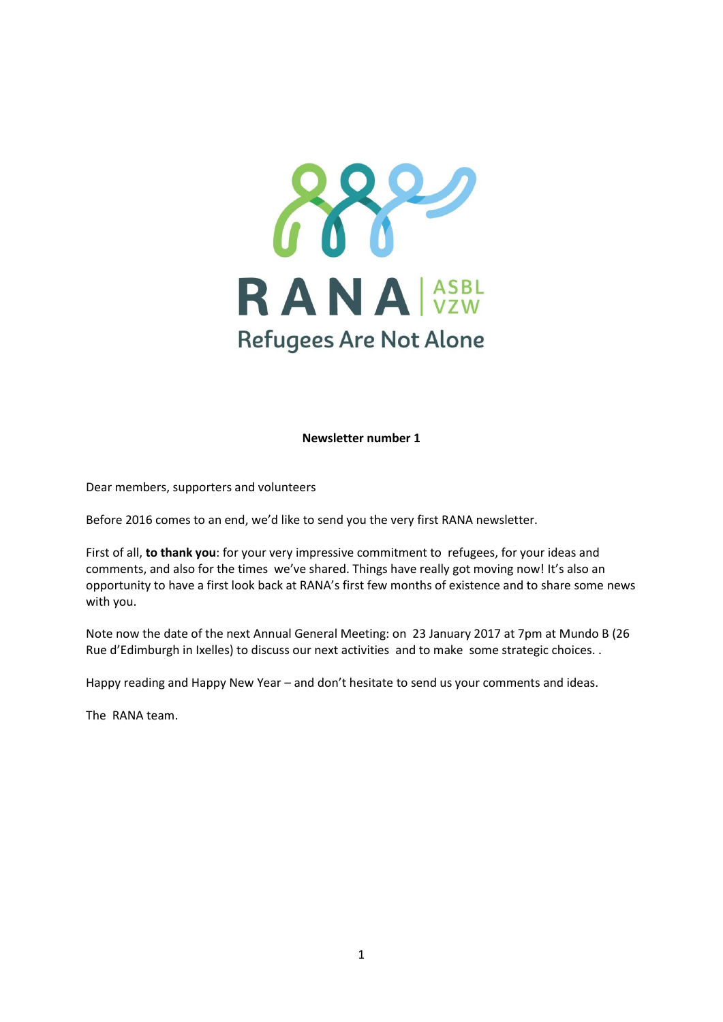

**Newsletter number 1**

Dear members, supporters and volunteers

Before 2016 comes to an end, we'd like to send you the very first RANA newsletter.

First of all, **to thank you**: for your very impressive commitment to refugees, for your ideas and comments, and also for the times we've shared. Things have really got moving now! It's also an opportunity to have a first look back at RANA's first few months of existence and to share some news with you.

Note now the date of the next Annual General Meeting: on 23 January 2017 at 7pm at Mundo B (26 Rue d'Edimburgh in Ixelles) to discuss our next activities and to make some strategic choices. .

Happy reading and Happy New Year – and don't hesitate to send us your comments and ideas.

The RANA team.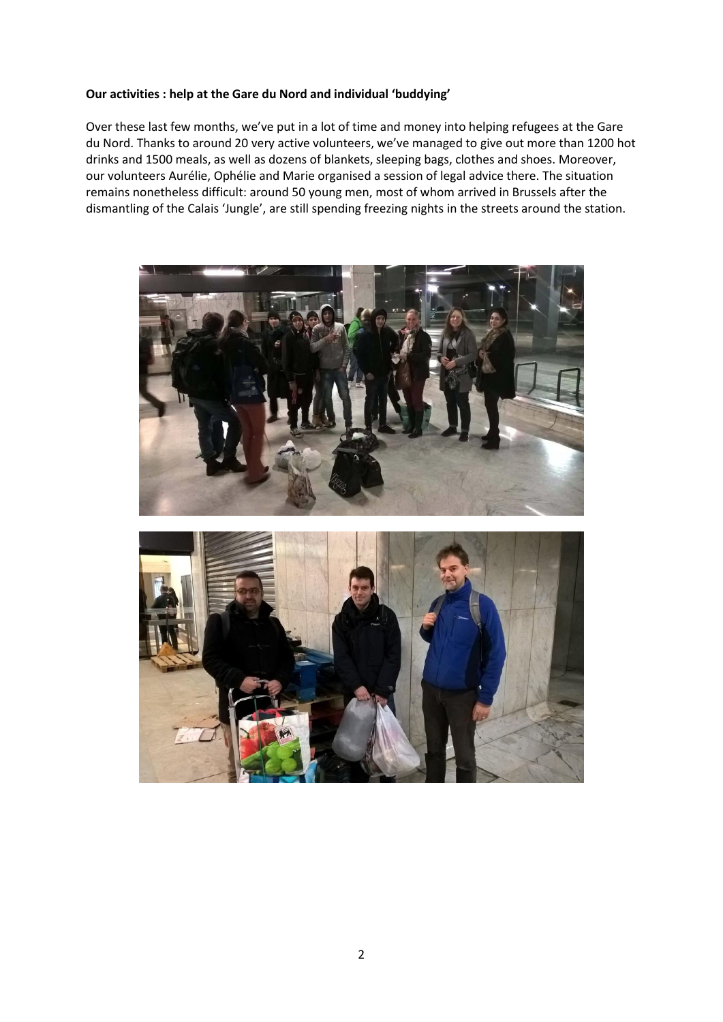## **Our activities : help at the Gare du Nord and individual 'buddying'**

Over these last few months, we've put in a lot of time and money into helping refugees at the Gare du Nord. Thanks to around 20 very active volunteers, we've managed to give out more than 1200 hot drinks and 1500 meals, as well as dozens of blankets, sleeping bags, clothes and shoes. Moreover, our volunteers Aurélie, Ophélie and Marie organised a session of legal advice there. The situation remains nonetheless difficult: around 50 young men, most of whom arrived in Brussels after the dismantling of the Calais 'Jungle', are still spending freezing nights in the streets around the station.

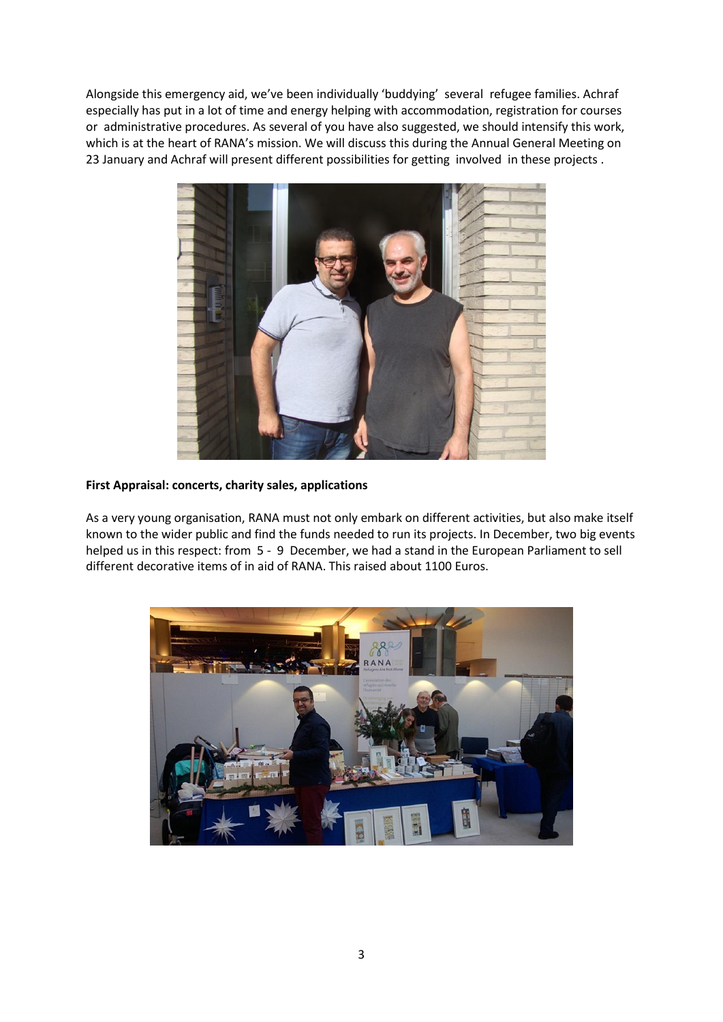Alongside this emergency aid, we've been individually 'buddying' several refugee families. Achraf especially has put in a lot of time and energy helping with accommodation, registration for courses or administrative procedures. As several of you have also suggested, we should intensify this work, which is at the heart of RANA's mission. We will discuss this during the Annual General Meeting on 23 January and Achraf will present different possibilities for getting involved in these projects .



## **First Appraisal: concerts, charity sales, applications**

As a very young organisation, RANA must not only embark on different activities, but also make itself known to the wider public and find the funds needed to run its projects. In December, two big events helped us in this respect: from 5 - 9 December, we had a stand in the European Parliament to sell different decorative items of in aid of RANA. This raised about 1100 Euros.

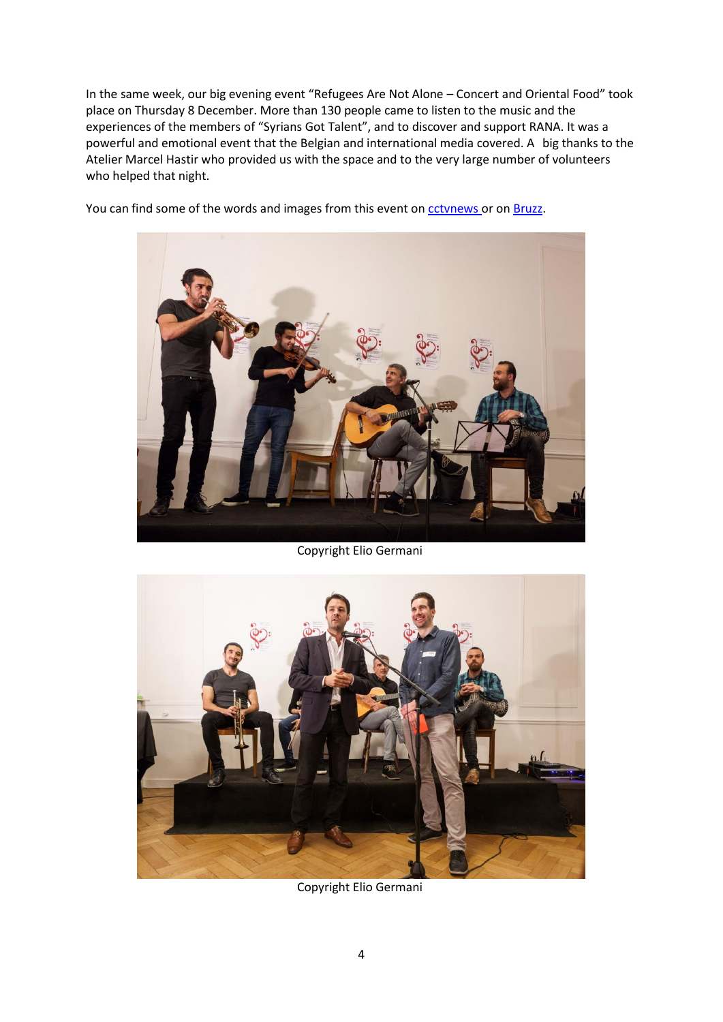In the same week, our big evening event "Refugees Are Not Alone – Concert and Oriental Food" took place on Thursday 8 December. More than 130 people came to listen to the music and the experiences of the members of "Syrians Got Talent", and to discover and support RANA. It was a powerful and emotional event that the Belgian and international media covered. A big thanks to the Atelier Marcel Hastir who provided us with the space and to the very large number of volunteers who helped that night.

You can find some of the words and images from this event on [cctvnews](http://english.cctv.com/2016/12/10/VIDE4SK8ForMDiV2gZ0Z4oMl161210.shtml) or on [Bruzz.](http://www.bruzz.be/nl/actua/syrians-got-talent-speelt-opnieuw-brussel)



Copyright Elio Germani



Copyright Elio Germani